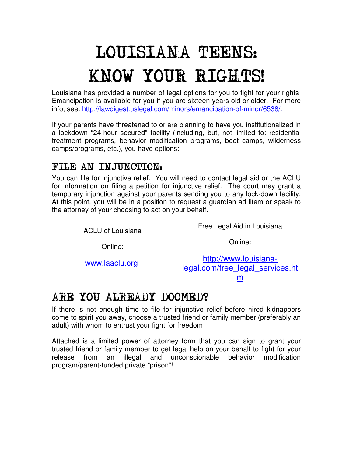## LOUISIANA TEENS: KNOW YOUR RIGHTS!

Louisiana has provided a number of legal options for you to fight for your rights! Emancipation is available for you if you are sixteen years old or older. For more info, see: http://lawdigest.uslegal.com/minors/emancipation-of-minor/6538/.

If your parents have threatened to or are planning to have you institutionalized in a lockdown "24-hour secured" facility (including, but, not limited to: residential treatment programs, behavior modification programs, boot camps, wilderness camps/programs, etc.), you have options:

## FILE AN INJUNCTION:

You can file for injunctive relief. You will need to contact legal aid or the ACLU for information on filing a petition for injunctive relief. The court may grant a temporary injunction against your parents sending you to any lock-down facility. At this point, you will be in a position to request a guardian ad litem or speak to the attorney of your choosing to act on your behalf.

| <b>ACLU of Louisiana</b> | Free Legal Aid in Louisiana                               |
|--------------------------|-----------------------------------------------------------|
| Online:                  | Online:                                                   |
| www.laaclu.org           | http://www.louisiana-<br>legal.com/free legal services.ht |
|                          |                                                           |

## ARE YOU ALREADY DOOMED?

If there is not enough time to file for injunctive relief before hired kidnappers come to spirit you away, choose a trusted friend or family member (preferably an adult) with whom to entrust your fight for freedom!

Attached is a limited power of attorney form that you can sign to grant your trusted friend or family member to get legal help on your behalf to fight for your release from an illegal and unconscionable behavior modification program/parent-funded private "prison"!